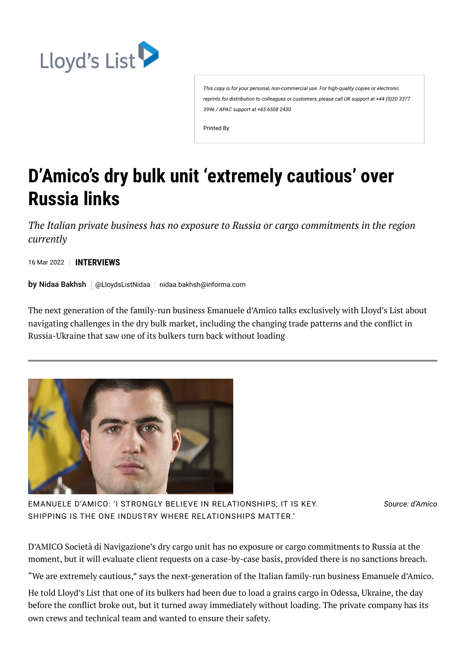

*This copy is for your personal, non-commercial use. For high-quality copies or electronic reprints for distribution to colleagues or customers, please call UK support at +44 (0)20 3377 3996 / APAC support at +65 6508 2430*

Printed By

## **D'Amico's dry bulk unit 'extremely cautious' over Russia links**

*The Italian private business has no exposure to Russia or cargo commitments in the region currently*

16 Mar 2022 **INTERVIEWS**

 $\mathsf{by}$  Nidaa [Bakhsh](https://lloydslist.maritimeintelligence.informa.com/authors/nidaa-bakhsh)  $\mid$  [@LloydsListNidaa](https://www.twitter.com/LloydsListNidaa)  $\mid$  [nidaa.bakhsh@informa.com](mailto:nidaa.bakhsh@informa.com)

The next generation of the family-run business Emanuele d'Amico talks exclusively with Lloyd's List about navigating challenges in the dry bulk market, including the changing trade patterns and the conflict in Russia-Ukraine that saw one of its bulkers turn back without loading



EMANUELE D'AMICO: 'I STRONGLY BELIEVE IN RELATIONSHIPS; IT IS KEY. SHIPPING IS THE ONE INDUSTRY WHERE RELATIONSHIPS MATTER.'

*Source: d'Amico*

D'AMICO Società di Navigazione's dry cargo unit has no exposure or cargo commitments to Russia at the moment, but it will evaluate client requests on a case-by-case basis, provided there is no sanctions breach.

"We are extremely cautious," says the next-generation of the Italian family-run business Emanuele d'Amico.

He told Lloyd's List that one of its bulkers had been due to load a grains cargo in Odessa, Ukraine, the day before the conflict broke out, but it turned away immediately without loading. The private company has its own crews and technical team and wanted to ensure their safety.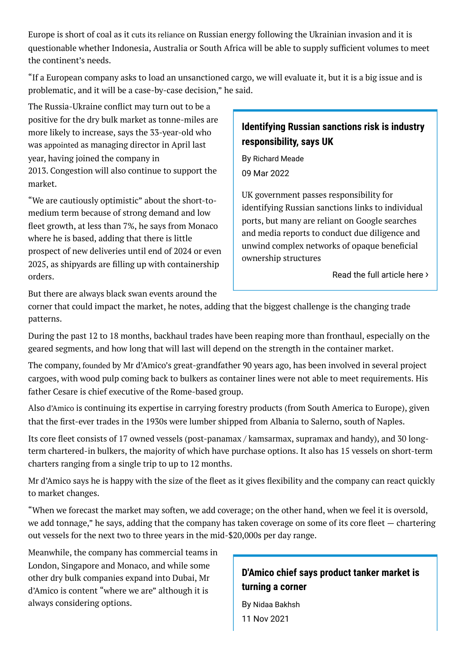Europe is short of coal as it cuts its [reliance](https://lloydslist.maritimeintelligence.informa.com/LL1140040/Europe-looks-to-cut-reliance-on-Russian-natural-gas) on Russian energy following the Ukrainian invasion and it is questionable whether Indonesia, Australia or South Africa will be able to supply sufficient volumes to meet the continent's needs.

"If a European company asks to load an unsanctioned cargo, we will evaluate it, but it is a big issue and is problematic, and it will be a case-by-case decision," he said.

The Russia-Ukraine conflict may turn out to be a positive for the dry bulk market as tonne-miles are more likely to increase, says the 33-year-old who was [appointed](https://en.damicodry.com/media/8952/press-release_-cesare-damico-ceo-of-the-dry-cargo-business-unit_220421.pdf) as managing director in April last year, having joined the company in 2013. Congestion will also continue to support the market.

"We are cautiously optimistic" about the short-tomedium term because of strong demand and low fleet growth, at less than 7%, he says from Monaco where he is based, adding that there is little prospect of new deliveries until end of 2024 or even 2025, as shipyards are filling up with containership orders.

## **Identifying Russian sanctions risk is industry responsibility, says UK**

By [Richard](https://lloydslist.maritimeintelligence.informa.com/authors/richard-meade) Meade 09 Mar 2022

UK government passes responsibility for identifying Russian sanctions links to individual ports, but many are reliant on Google searches and media reports to conduct due diligence and unwind complex networks of opaque beneficial ownership structures

[Read the full](https://lloydslist.maritimeintelligence.informa.com/LL1140100/Identifying-Russian-sanctions-risk-is-industry-responsibility-says-UK) article here  $\lambda$ 

But there are always black swan events around the

corner that could impact the market, he notes, adding that the biggest challenge is the changing trade patterns.

During the past 12 to 18 months, backhaul trades have been reaping more than fronthaul, especially on the geared segments, and how long that will last will depend on the strength in the container market.

The company, [founded](https://en.damicodry.com/about-dry-cargo/about-dry-cargo/#_over-80-years-of-history) by Mr d'Amico's great-grandfather 90 years ago, has been involved in several project cargoes, with wood pulp coming back to bulkers as container lines were not able to meet requirements. His father Cesare is chief executive of the Rome-based group.

Also [d'Amico](https://www.seasearcher.com/company/3713/overview) is continuing its expertise in carrying forestry products (from South America to Europe), given that the first-ever trades in the 1930s were lumber shipped from Albania to Salerno, south of Naples.

Its core fleet consists of 17 owned vessels (post-panamax / kamsarmax, supramax and handy), and 30 longterm chartered-in bulkers, the majority of which have purchase options. It also has 15 vessels on short-term charters ranging from a single trip to up to 12 months.

Mr d'Amico says he is happy with the size of the fleet as it gives flexibility and the company can react quickly to market changes.

"When we forecast the market may soften, we add coverage; on the other hand, when we feel it is oversold, we add tonnage," he says, adding that the company has taken coverage on some of its core fleet — chartering out vessels for the next two to three years in the mid-\$20,000s per day range.

Meanwhile, the company has commercial teams in London, Singapore and Monaco, and while some other dry bulk companies expand into Dubai, Mr d'Amico is content "where we are" although it is always considering options.

## **D'Amico chief says product tanker market is turning a corner**

By Nidaa [Bakhsh](https://lloydslist.maritimeintelligence.informa.com/authors/nidaa-bakhsh) 11 Nov 2021